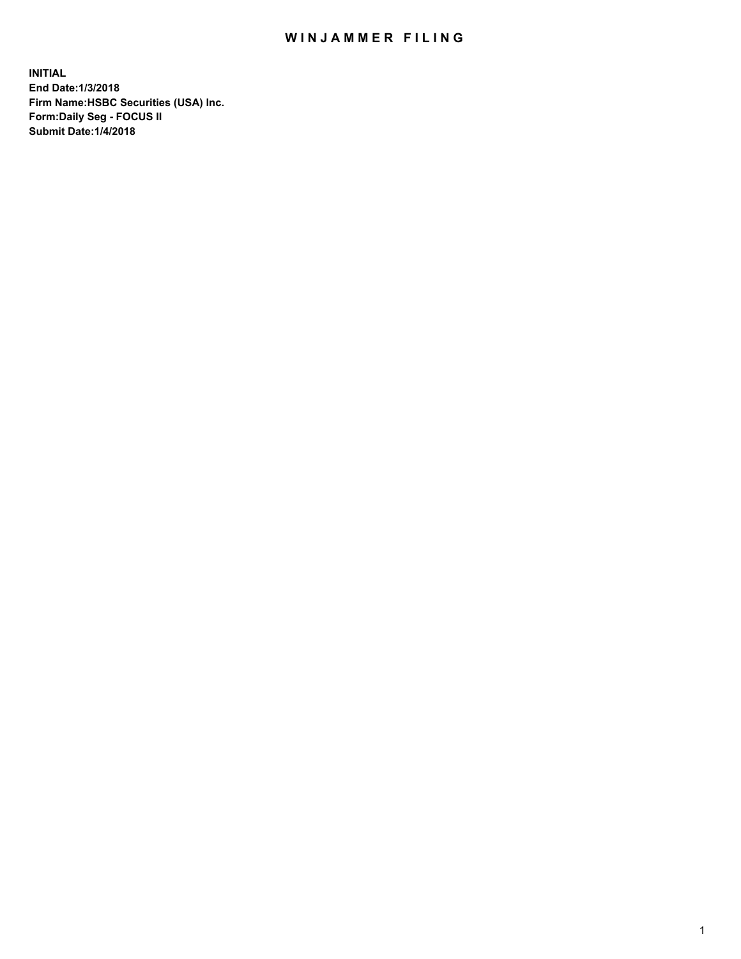## WIN JAMMER FILING

**INITIAL End Date:1/3/2018 Firm Name:HSBC Securities (USA) Inc. Form:Daily Seg - FOCUS II Submit Date:1/4/2018**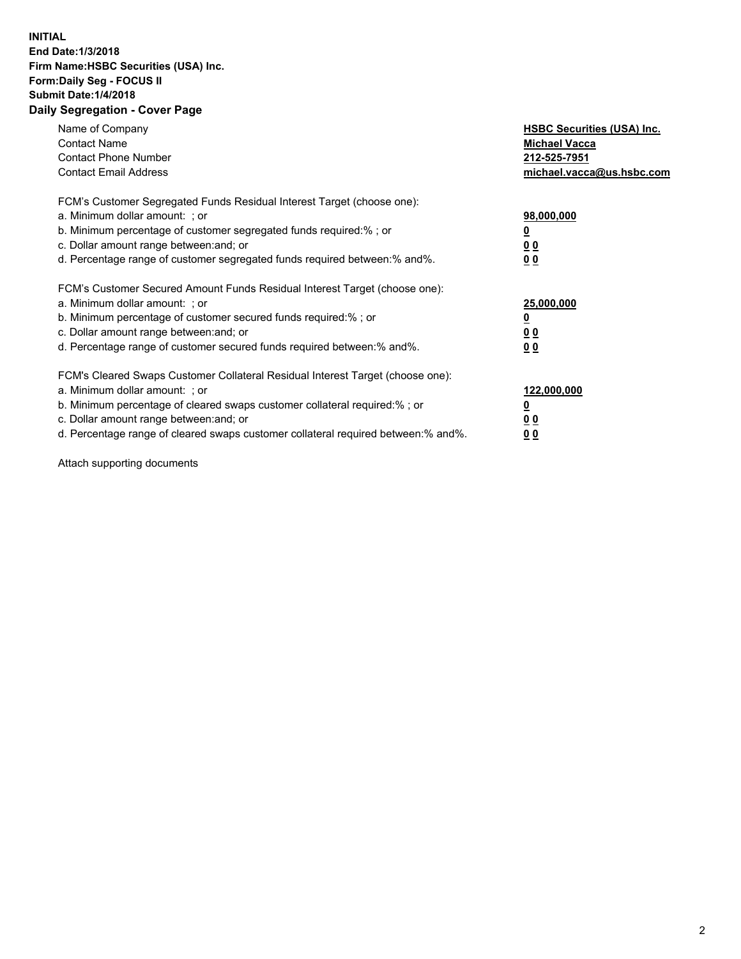## **INITIAL End Date:1/3/2018 Firm Name:HSBC Securities (USA) Inc. Form:Daily Seg - FOCUS II Submit Date:1/4/2018 Daily Segregation - Cover Page**

| Name of Company<br><b>Contact Name</b><br><b>Contact Phone Number</b><br><b>Contact Email Address</b>                                                                                                                                                                                                                         | <b>HSBC Securities (USA) Inc.</b><br><b>Michael Vacca</b><br>212-525-7951<br>michael.vacca@us.hsbc.com |
|-------------------------------------------------------------------------------------------------------------------------------------------------------------------------------------------------------------------------------------------------------------------------------------------------------------------------------|--------------------------------------------------------------------------------------------------------|
| FCM's Customer Segregated Funds Residual Interest Target (choose one):<br>a. Minimum dollar amount: ; or<br>b. Minimum percentage of customer segregated funds required:%; or<br>c. Dollar amount range between: and; or<br>d. Percentage range of customer segregated funds required between: % and %.                       | 98,000,000<br><u>0</u><br><u>00</u><br>00                                                              |
| FCM's Customer Secured Amount Funds Residual Interest Target (choose one):<br>a. Minimum dollar amount: ; or<br>b. Minimum percentage of customer secured funds required:%; or<br>c. Dollar amount range between: and; or<br>d. Percentage range of customer secured funds required between: % and %.                         | 25,000,000<br><u>0</u><br><u>00</u><br>00                                                              |
| FCM's Cleared Swaps Customer Collateral Residual Interest Target (choose one):<br>a. Minimum dollar amount: ; or<br>b. Minimum percentage of cleared swaps customer collateral required:%; or<br>c. Dollar amount range between: and; or<br>d. Percentage range of cleared swaps customer collateral required between:% and%. | 122,000,000<br><u>0</u><br><u>00</u><br><u>00</u>                                                      |

Attach supporting documents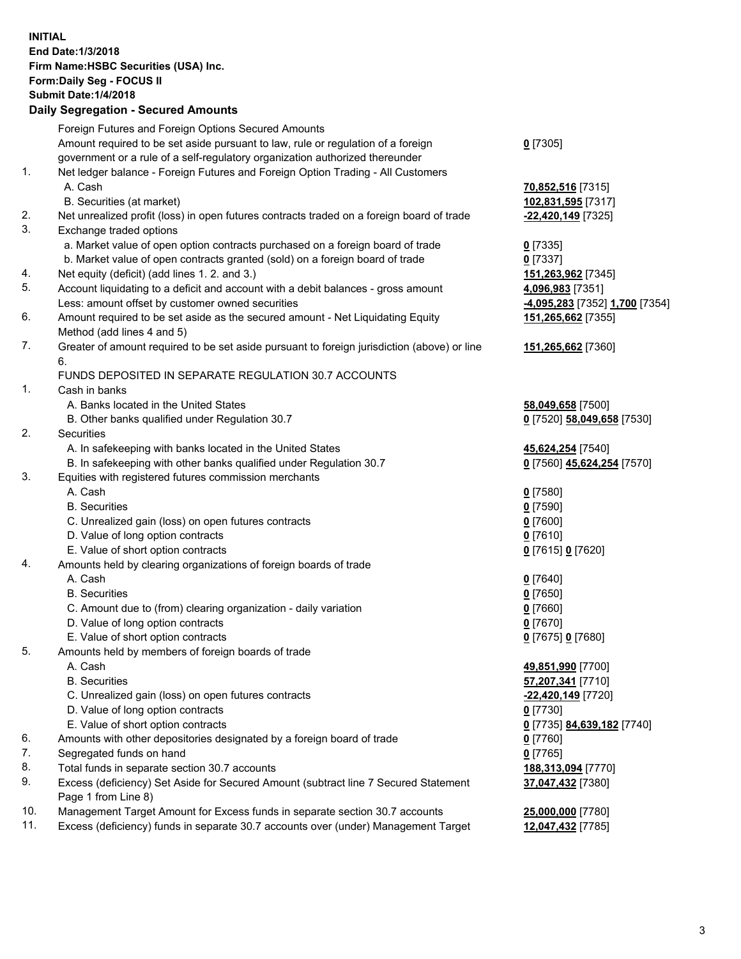**INITIAL End Date:1/3/2018 Firm Name:HSBC Securities (USA) Inc. Form:Daily Seg - FOCUS II Submit Date:1/4/2018 Daily Segregation - Secured Amounts** Foreign Futures and Foreign Options Secured Amounts Amount required to be set aside pursuant to law, rule or regulation of a foreign government or a rule of a self-regulatory organization authorized thereunder **0** [7305] 1. Net ledger balance - Foreign Futures and Foreign Option Trading - All Customers A. Cash **70,852,516** [7315] B. Securities (at market) **102,831,595** [7317] 2. Net unrealized profit (loss) in open futures contracts traded on a foreign board of trade **-22,420,149** [7325] 3. Exchange traded options a. Market value of open option contracts purchased on a foreign board of trade **0** [7335] b. Market value of open contracts granted (sold) on a foreign board of trade **0** [7337] 4. Net equity (deficit) (add lines 1. 2. and 3.) **151,263,962** [7345] 5. Account liquidating to a deficit and account with a debit balances - gross amount **4,096,983** [7351] Less: amount offset by customer owned securities **-4,095,283** [7352] **1,700** [7354] 6. Amount required to be set aside as the secured amount - Net Liquidating Equity Method (add lines 4 and 5) **151,265,662** [7355] 7. Greater of amount required to be set aside pursuant to foreign jurisdiction (above) or line 6. **151,265,662** [7360] FUNDS DEPOSITED IN SEPARATE REGULATION 30.7 ACCOUNTS 1. Cash in banks A. Banks located in the United States **58,049,658** [7500] B. Other banks qualified under Regulation 30.7 **0** [7520] **58,049,658** [7530] 2. Securities A. In safekeeping with banks located in the United States **45,624,254** [7540] B. In safekeeping with other banks qualified under Regulation 30.7 **0** [7560] **45,624,254** [7570] 3. Equities with registered futures commission merchants A. Cash **0** [7580] B. Securities **0** [7590] C. Unrealized gain (loss) on open futures contracts **0** [7600] D. Value of long option contracts **0** [7610] E. Value of short option contracts **0** [7615] **0** [7620] 4. Amounts held by clearing organizations of foreign boards of trade A. Cash **0** [7640] B. Securities **0** [7650] C. Amount due to (from) clearing organization - daily variation **0** [7660] D. Value of long option contracts **0** [7670] E. Value of short option contracts **0** [7675] **0** [7680] 5. Amounts held by members of foreign boards of trade A. Cash **49,851,990** [7700] B. Securities **57,207,341** [7710] C. Unrealized gain (loss) on open futures contracts **-22,420,149** [7720] D. Value of long option contracts **0** [7730] E. Value of short option contracts **0** [7735] **84,639,182** [7740] 6. Amounts with other depositories designated by a foreign board of trade **0** [7760] 7. Segregated funds on hand **0** [7765] 8. Total funds in separate section 30.7 accounts **188,313,094** [7770] 9. Excess (deficiency) Set Aside for Secured Amount (subtract line 7 Secured Statement Page 1 from Line 8) **37,047,432** [7380] 10. Management Target Amount for Excess funds in separate section 30.7 accounts **25,000,000** [7780] 11. Excess (deficiency) funds in separate 30.7 accounts over (under) Management Target **12,047,432** [7785]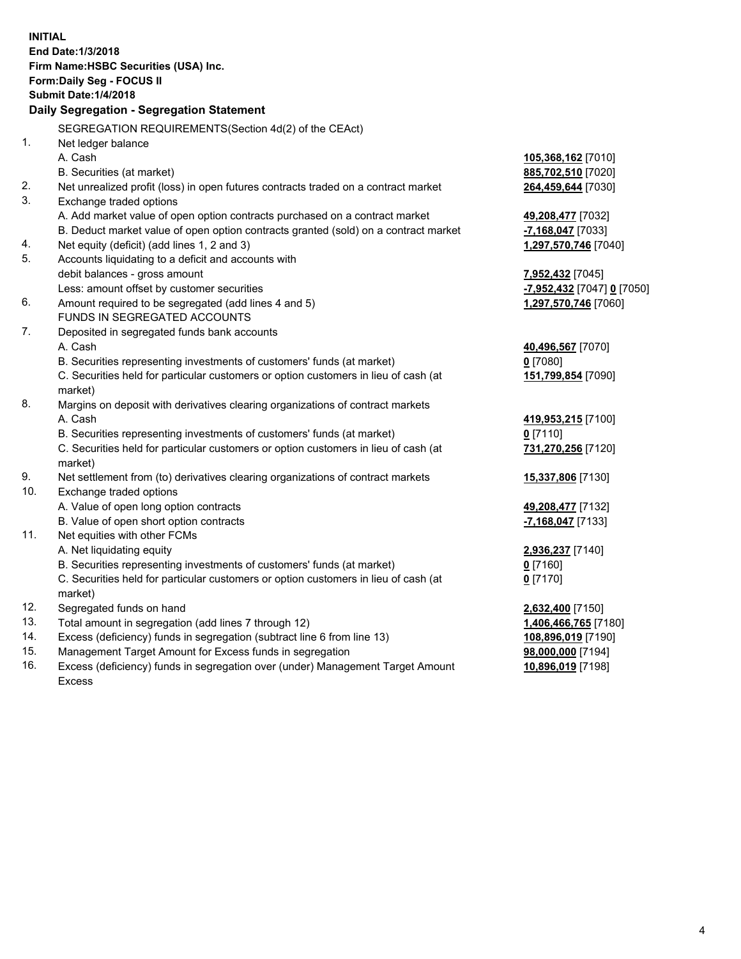| <b>INITIAL</b> | End Date:1/3/2018<br>Firm Name: HSBC Securities (USA) Inc.<br>Form: Daily Seg - FOCUS II<br><b>Submit Date: 1/4/2018</b><br><b>Daily Segregation - Segregation Statement</b> |                            |
|----------------|------------------------------------------------------------------------------------------------------------------------------------------------------------------------------|----------------------------|
|                | SEGREGATION REQUIREMENTS(Section 4d(2) of the CEAct)                                                                                                                         |                            |
| 1.             | Net ledger balance                                                                                                                                                           |                            |
|                | A. Cash                                                                                                                                                                      | 105,368,162 [7010]         |
|                | B. Securities (at market)                                                                                                                                                    | 885,702,510 [7020]         |
| 2.             | Net unrealized profit (loss) in open futures contracts traded on a contract market                                                                                           | 264,459,644 [7030]         |
| 3.             | Exchange traded options                                                                                                                                                      |                            |
|                | A. Add market value of open option contracts purchased on a contract market                                                                                                  | 49,208,477 [7032]          |
|                | B. Deduct market value of open option contracts granted (sold) on a contract market                                                                                          | -7,168,047 [7033]          |
| 4.             | Net equity (deficit) (add lines 1, 2 and 3)                                                                                                                                  | 1,297,570,746 [7040]       |
| 5.             | Accounts liquidating to a deficit and accounts with                                                                                                                          |                            |
|                | debit balances - gross amount                                                                                                                                                | 7,952,432 [7045]           |
|                | Less: amount offset by customer securities                                                                                                                                   | -7,952,432 [7047] 0 [7050] |
| 6.             | Amount required to be segregated (add lines 4 and 5)                                                                                                                         | 1,297,570,746 [7060]       |
|                | FUNDS IN SEGREGATED ACCOUNTS                                                                                                                                                 |                            |
| 7.             | Deposited in segregated funds bank accounts                                                                                                                                  |                            |
|                | A. Cash                                                                                                                                                                      | 40,496,567 [7070]          |
|                | B. Securities representing investments of customers' funds (at market)                                                                                                       | $0$ [7080]                 |
|                | C. Securities held for particular customers or option customers in lieu of cash (at<br>market)                                                                               | 151,799,854 [7090]         |
| 8.             | Margins on deposit with derivatives clearing organizations of contract markets                                                                                               |                            |
|                | A. Cash                                                                                                                                                                      | 419,953,215 [7100]         |
|                | B. Securities representing investments of customers' funds (at market)                                                                                                       | $0$ [7110]                 |
|                | C. Securities held for particular customers or option customers in lieu of cash (at<br>market)                                                                               | 731,270,256 [7120]         |
| 9.             | Net settlement from (to) derivatives clearing organizations of contract markets                                                                                              | 15,337,806 [7130]          |
| 10.            | Exchange traded options                                                                                                                                                      |                            |
|                | A. Value of open long option contracts                                                                                                                                       | 49,208,477 [7132]          |
|                | B. Value of open short option contracts                                                                                                                                      | -7,168,047 [7133]          |
| 11.            | Net equities with other FCMs                                                                                                                                                 |                            |
|                | A. Net liquidating equity                                                                                                                                                    | 2,936,237 [7140]           |
|                | B. Securities representing investments of customers' funds (at market)                                                                                                       | 0 [7160]                   |
|                | C. Securities held for particular customers or option customers in lieu of cash (at                                                                                          | $0$ [7170]                 |
|                | market)                                                                                                                                                                      |                            |
| 12.            | Segregated funds on hand                                                                                                                                                     | 2,632,400 [7150]           |
| 13.            | Total amount in segregation (add lines 7 through 12)                                                                                                                         | 1,406,466,765 [7180]       |
| 14.            | Excess (deficiency) funds in segregation (subtract line 6 from line 13)                                                                                                      | 108,896,019 [7190]         |
| 15.            | Management Target Amount for Excess funds in segregation                                                                                                                     | 98,000,000 [7194]          |

16. Excess (deficiency) funds in segregation over (under) Management Target Amount Excess

**10,896,019** [7198]